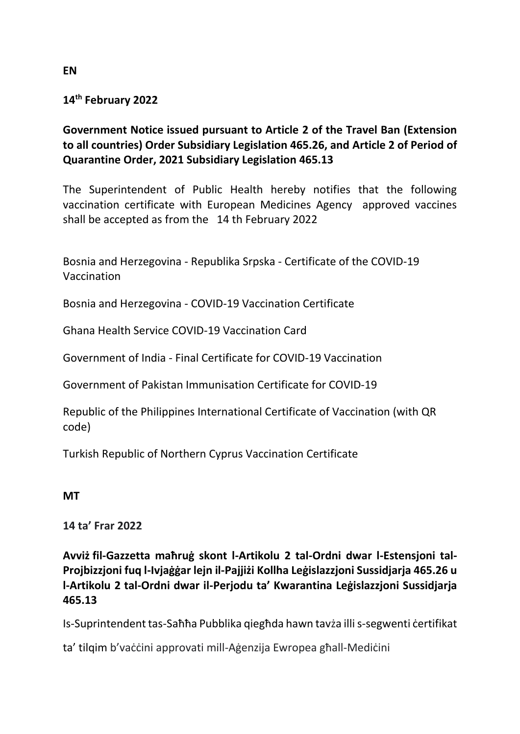## **14th February 2022**

## **Government Notice issued pursuant to Article 2 of the Travel Ban (Extension to all countries) Order Subsidiary Legislation 465.26, and Article 2 of Period of Quarantine Order, 2021 Subsidiary Legislation 465.13**

The Superintendent of Public Health hereby notifies that the following vaccination certificate with European Medicines Agency approved vaccines shall be accepted as from the 14 th February 2022

Bosnia and Herzegovina - Republika Srpska - Certificate of the COVID-19 Vaccination

Bosnia and Herzegovina - COVID-19 Vaccination Certificate

Ghana Health Service COVID-19 Vaccination Card

Government of India - Final Certificate for COVID-19 Vaccination

Government of Pakistan Immunisation Certificate for COVID-19

Republic of the Philippines International Certificate of Vaccination (with QR code)

Turkish Republic of Northern Cyprus Vaccination Certificate

## **MT**

**14 ta' Frar 2022**

**Avviż fil-Gazzetta maħruġ skont l-Artikolu 2 tal-Ordni dwar l-Estensjoni tal-Projbizzjoni fuq l-Ivjaġġar lejn il-Pajjiżi Kollha Leġislazzjoni Sussidjarja 465.26 u l-Artikolu 2 tal-Ordni dwar il-Perjodu ta' Kwarantina Leġislazzjoni Sussidjarja 465.13** 

Is-Suprintendent tas-Saħħa Pubblika qiegħda hawn tavża illi s-segwenti ċertifikat

ta' tilqim b'vaċċini approvati mill-Aġenzija Ewropea għall-Mediċini